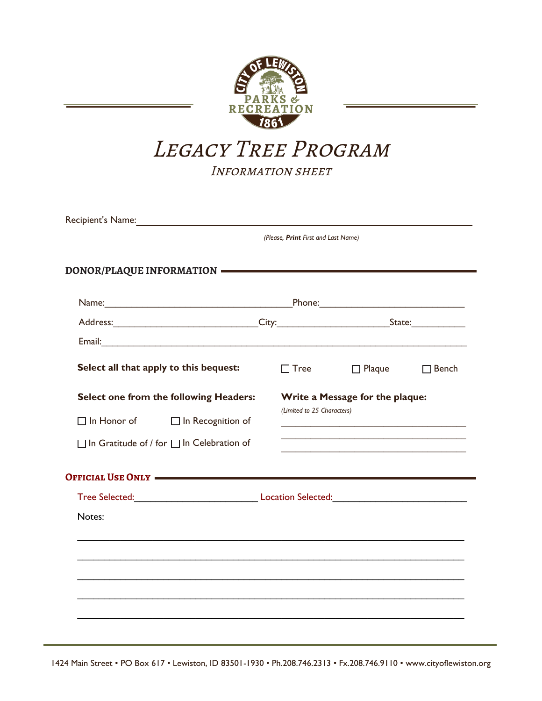

# LEGACY TREE PROGRAM

INFORMATION SHEET

| Recipient's Name:                                     |                                     |                                 |              |  |  |  |  |  |  |
|-------------------------------------------------------|-------------------------------------|---------------------------------|--------------|--|--|--|--|--|--|
|                                                       | (Please, Print First and Last Name) |                                 |              |  |  |  |  |  |  |
| DONOR/PLAQUE INFORMATION <b>-</b>                     |                                     |                                 |              |  |  |  |  |  |  |
|                                                       |                                     |                                 |              |  |  |  |  |  |  |
| Address: City: City: City: State:                     |                                     |                                 |              |  |  |  |  |  |  |
|                                                       |                                     |                                 |              |  |  |  |  |  |  |
| Select all that apply to this bequest:                | $\Box$ Tree                         | $\Box$ Plaque                   | $\Box$ Bench |  |  |  |  |  |  |
| Select one from the following Headers:                |                                     | Write a Message for the plaque: |              |  |  |  |  |  |  |
| $\Box$ In Honor of<br>$\Box$ In Recognition of        |                                     | (Limited to 25 Characters)      |              |  |  |  |  |  |  |
| $\Box$ In Gratitude of / for $\Box$ In Celebration of |                                     |                                 |              |  |  |  |  |  |  |
| OFFICIAL USE ONLY                                     |                                     |                                 |              |  |  |  |  |  |  |
|                                                       |                                     |                                 |              |  |  |  |  |  |  |
| Notes:                                                |                                     |                                 |              |  |  |  |  |  |  |
|                                                       |                                     |                                 |              |  |  |  |  |  |  |
|                                                       |                                     |                                 |              |  |  |  |  |  |  |
|                                                       |                                     |                                 |              |  |  |  |  |  |  |
|                                                       |                                     |                                 |              |  |  |  |  |  |  |
|                                                       |                                     |                                 |              |  |  |  |  |  |  |